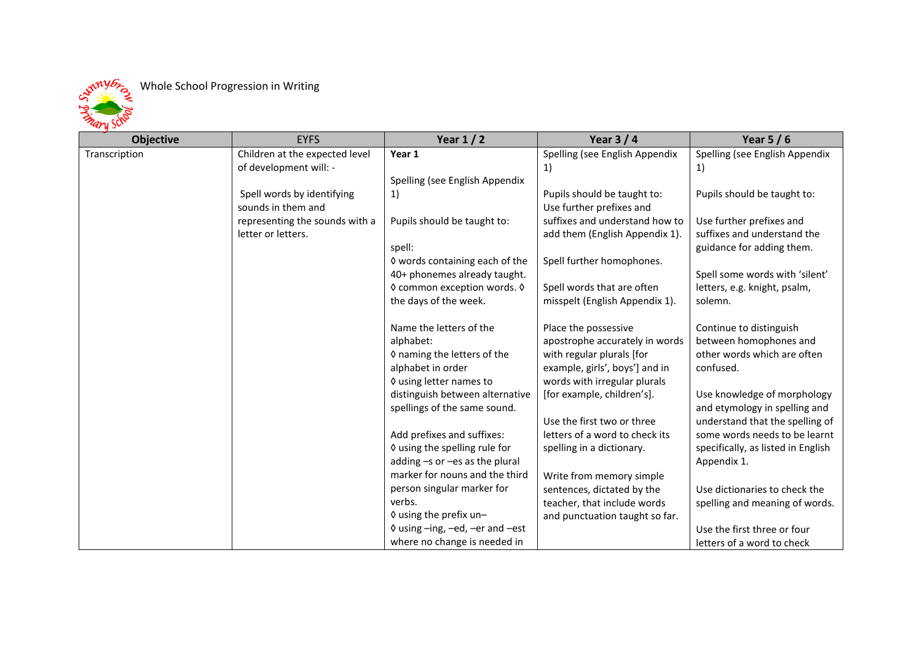Whole School Progression in Writing



| <b>Objective</b> | <b>EYFS</b>                    | Year $1/2$                                                       | Year $3/4$                     | Year $5/6$                         |
|------------------|--------------------------------|------------------------------------------------------------------|--------------------------------|------------------------------------|
| Transcription    | Children at the expected level | Year 1                                                           | Spelling (see English Appendix | Spelling (see English Appendix     |
|                  | of development will: -         |                                                                  | 1)                             | 1)                                 |
|                  |                                | Spelling (see English Appendix                                   |                                |                                    |
|                  | Spell words by identifying     | 1)                                                               | Pupils should be taught to:    | Pupils should be taught to:        |
|                  | sounds in them and             |                                                                  | Use further prefixes and       |                                    |
|                  | representing the sounds with a | Pupils should be taught to:                                      | suffixes and understand how to | Use further prefixes and           |
|                  | letter or letters.             |                                                                  | add them (English Appendix 1). | suffixes and understand the        |
|                  |                                | spell:                                                           |                                | guidance for adding them.          |
|                  |                                | ◊ words containing each of the                                   | Spell further homophones.      |                                    |
|                  |                                | 40+ phonemes already taught.                                     |                                | Spell some words with 'silent'     |
|                  |                                | ◊ common exception words. ◊                                      | Spell words that are often     | letters, e.g. knight, psalm,       |
|                  |                                | the days of the week.                                            | misspelt (English Appendix 1). | solemn.                            |
|                  |                                |                                                                  |                                |                                    |
|                  |                                | Name the letters of the                                          | Place the possessive           | Continue to distinguish            |
|                  |                                | alphabet:                                                        | apostrophe accurately in words | between homophones and             |
|                  |                                | ◊ naming the letters of the                                      | with regular plurals [for      | other words which are often        |
|                  |                                | alphabet in order                                                | example, girls', boys'] and in | confused.                          |
|                  |                                | ♦ using letter names to                                          | words with irregular plurals   |                                    |
|                  |                                | distinguish between alternative                                  | [for example, children's].     | Use knowledge of morphology        |
|                  |                                | spellings of the same sound.                                     |                                | and etymology in spelling and      |
|                  |                                |                                                                  | Use the first two or three     | understand that the spelling of    |
|                  |                                | Add prefixes and suffixes:                                       | letters of a word to check its | some words needs to be learnt      |
|                  |                                | ♦ using the spelling rule for                                    | spelling in a dictionary.      | specifically, as listed in English |
|                  |                                | adding -s or -es as the plural<br>marker for nouns and the third |                                | Appendix 1.                        |
|                  |                                | person singular marker for                                       | Write from memory simple       |                                    |
|                  |                                | verbs.                                                           | sentences, dictated by the     | Use dictionaries to check the      |
|                  |                                | ♦ using the prefix un-                                           | teacher, that include words    | spelling and meaning of words.     |
|                  |                                | 0 using -ing, -ed, -er and -est                                  | and punctuation taught so far. | Use the first three or four        |
|                  |                                | where no change is needed in                                     |                                |                                    |
|                  |                                |                                                                  |                                | letters of a word to check         |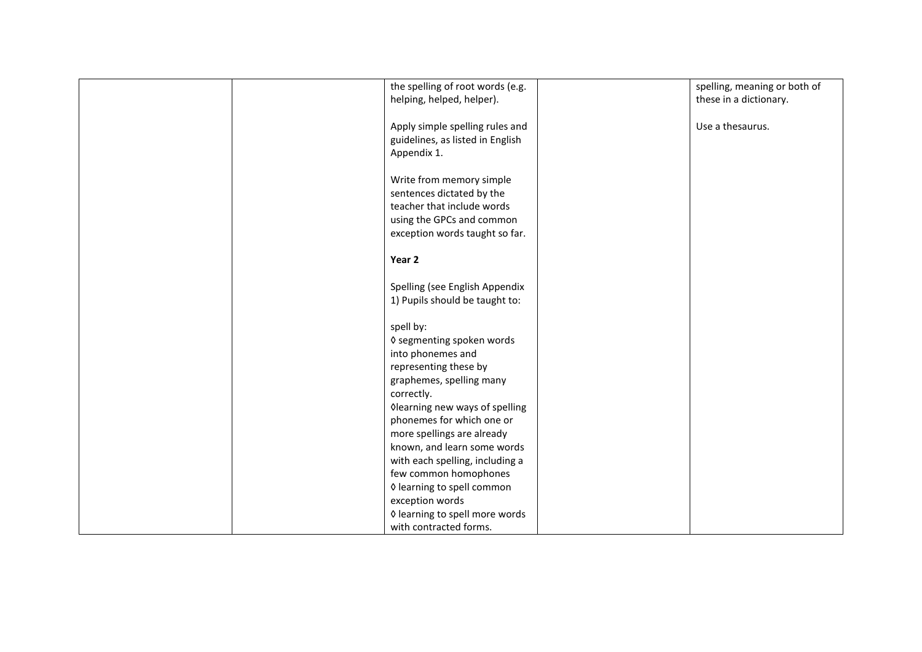| the spelling of root words (e.g. | spelling, meaning or both of |
|----------------------------------|------------------------------|
| helping, helped, helper).        | these in a dictionary.       |
|                                  |                              |
| Apply simple spelling rules and  | Use a thesaurus.             |
| guidelines, as listed in English |                              |
| Appendix 1.                      |                              |
|                                  |                              |
| Write from memory simple         |                              |
| sentences dictated by the        |                              |
| teacher that include words       |                              |
| using the GPCs and common        |                              |
| exception words taught so far.   |                              |
|                                  |                              |
| Year 2                           |                              |
|                                  |                              |
| Spelling (see English Appendix   |                              |
| 1) Pupils should be taught to:   |                              |
|                                  |                              |
| spell by:                        |                              |
| ♦ segmenting spoken words        |                              |
| into phonemes and                |                              |
| representing these by            |                              |
| graphemes, spelling many         |                              |
| correctly.                       |                              |
| Olearning new ways of spelling   |                              |
| phonemes for which one or        |                              |
| more spellings are already       |                              |
| known, and learn some words      |                              |
| with each spelling, including a  |                              |
| few common homophones            |                              |
| ♦ learning to spell common       |                              |
| exception words                  |                              |
| ♦ learning to spell more words   |                              |
| with contracted forms.           |                              |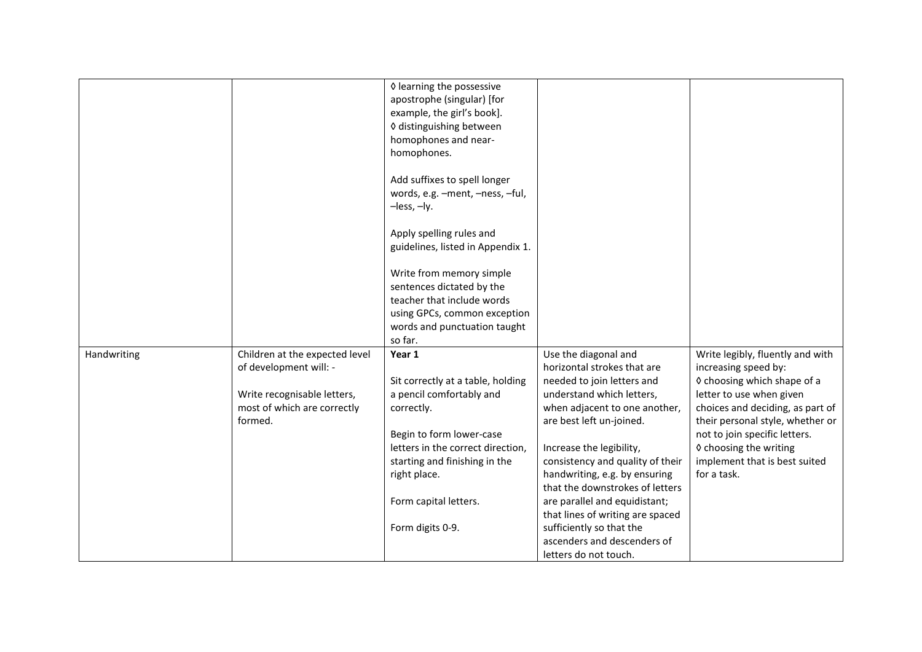|             |                                                            | ♦ learning the possessive<br>apostrophe (singular) [for<br>example, the girl's book].<br>◊ distinguishing between |                                                              |                                                                      |
|-------------|------------------------------------------------------------|-------------------------------------------------------------------------------------------------------------------|--------------------------------------------------------------|----------------------------------------------------------------------|
|             |                                                            | homophones and near-<br>homophones.                                                                               |                                                              |                                                                      |
|             |                                                            | Add suffixes to spell longer<br>words, e.g. -ment, -ness, -ful,<br>$-$ less, $-$ ly.                              |                                                              |                                                                      |
|             |                                                            | Apply spelling rules and<br>guidelines, listed in Appendix 1.                                                     |                                                              |                                                                      |
|             |                                                            | Write from memory simple<br>sentences dictated by the                                                             |                                                              |                                                                      |
|             |                                                            | teacher that include words<br>using GPCs, common exception<br>words and punctuation taught                        |                                                              |                                                                      |
|             |                                                            | so far.                                                                                                           |                                                              |                                                                      |
| Handwriting | Children at the expected level                             | Year 1                                                                                                            | Use the diagonal and                                         | Write legibly, fluently and with                                     |
|             | of development will: -                                     |                                                                                                                   | horizontal strokes that are                                  | increasing speed by:                                                 |
|             |                                                            | Sit correctly at a table, holding                                                                                 | needed to join letters and                                   | ◊ choosing which shape of a                                          |
|             | Write recognisable letters,<br>most of which are correctly | a pencil comfortably and                                                                                          | understand which letters,                                    | letter to use when given                                             |
|             | formed.                                                    | correctly.                                                                                                        | when adjacent to one another,<br>are best left un-joined.    | choices and deciding, as part of<br>their personal style, whether or |
|             |                                                            | Begin to form lower-case                                                                                          |                                                              | not to join specific letters.                                        |
|             |                                                            | letters in the correct direction,                                                                                 | Increase the legibility,                                     | ♦ choosing the writing                                               |
|             |                                                            | starting and finishing in the                                                                                     | consistency and quality of their                             | implement that is best suited                                        |
|             |                                                            | right place.                                                                                                      | handwriting, e.g. by ensuring                                | for a task.                                                          |
|             |                                                            |                                                                                                                   | that the downstrokes of letters                              |                                                                      |
|             |                                                            | Form capital letters.                                                                                             | are parallel and equidistant;                                |                                                                      |
|             |                                                            |                                                                                                                   | that lines of writing are spaced<br>sufficiently so that the |                                                                      |
|             |                                                            | Form digits 0-9.                                                                                                  | ascenders and descenders of                                  |                                                                      |
|             |                                                            |                                                                                                                   | letters do not touch.                                        |                                                                      |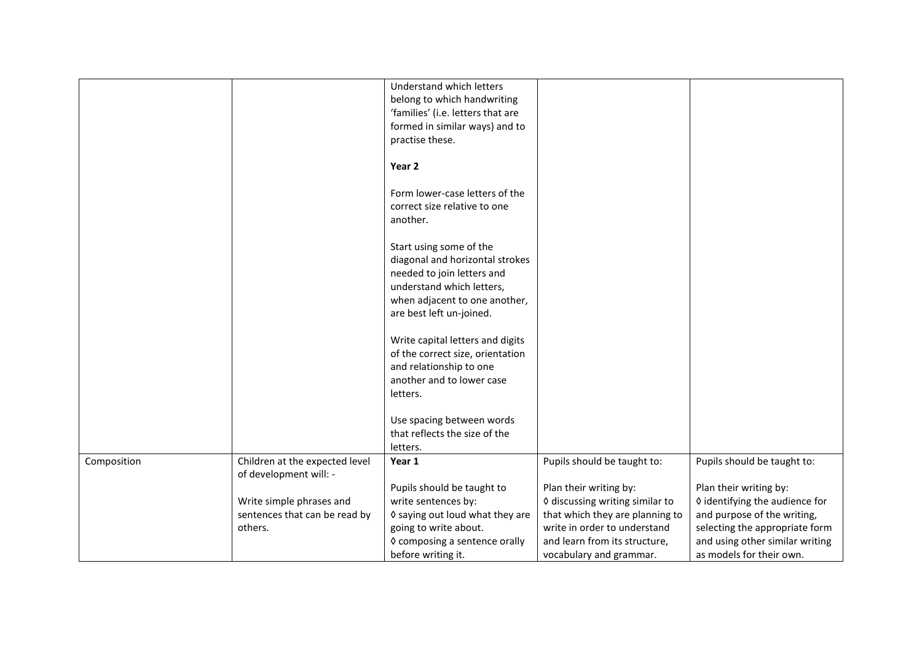|             |                                | Understand which letters<br>belong to which handwriting<br>'families' (i.e. letters that are |                                 |                                 |
|-------------|--------------------------------|----------------------------------------------------------------------------------------------|---------------------------------|---------------------------------|
|             |                                | formed in similar ways) and to                                                               |                                 |                                 |
|             |                                | practise these.                                                                              |                                 |                                 |
|             |                                |                                                                                              |                                 |                                 |
|             |                                | Year <sub>2</sub>                                                                            |                                 |                                 |
|             |                                | Form lower-case letters of the                                                               |                                 |                                 |
|             |                                | correct size relative to one                                                                 |                                 |                                 |
|             |                                | another.                                                                                     |                                 |                                 |
|             |                                |                                                                                              |                                 |                                 |
|             |                                | Start using some of the                                                                      |                                 |                                 |
|             |                                | diagonal and horizontal strokes                                                              |                                 |                                 |
|             |                                | needed to join letters and                                                                   |                                 |                                 |
|             |                                | understand which letters,                                                                    |                                 |                                 |
|             |                                | when adjacent to one another,                                                                |                                 |                                 |
|             |                                | are best left un-joined.                                                                     |                                 |                                 |
|             |                                |                                                                                              |                                 |                                 |
|             |                                | Write capital letters and digits                                                             |                                 |                                 |
|             |                                | of the correct size, orientation                                                             |                                 |                                 |
|             |                                | and relationship to one                                                                      |                                 |                                 |
|             |                                | another and to lower case                                                                    |                                 |                                 |
|             |                                | letters.                                                                                     |                                 |                                 |
|             |                                |                                                                                              |                                 |                                 |
|             |                                | Use spacing between words                                                                    |                                 |                                 |
|             |                                | that reflects the size of the                                                                |                                 |                                 |
|             |                                | letters.                                                                                     |                                 |                                 |
| Composition | Children at the expected level | Year 1                                                                                       | Pupils should be taught to:     | Pupils should be taught to:     |
|             | of development will: -         |                                                                                              |                                 |                                 |
|             |                                | Pupils should be taught to                                                                   | Plan their writing by:          | Plan their writing by:          |
|             | Write simple phrases and       | write sentences by:                                                                          | ♦ discussing writing similar to | ♦ identifying the audience for  |
|             | sentences that can be read by  | ♦ saying out loud what they are                                                              | that which they are planning to | and purpose of the writing,     |
|             | others.                        | going to write about.                                                                        | write in order to understand    | selecting the appropriate form  |
|             |                                | ◊ composing a sentence orally                                                                | and learn from its structure,   | and using other similar writing |
|             |                                | before writing it.                                                                           | vocabulary and grammar.         | as models for their own.        |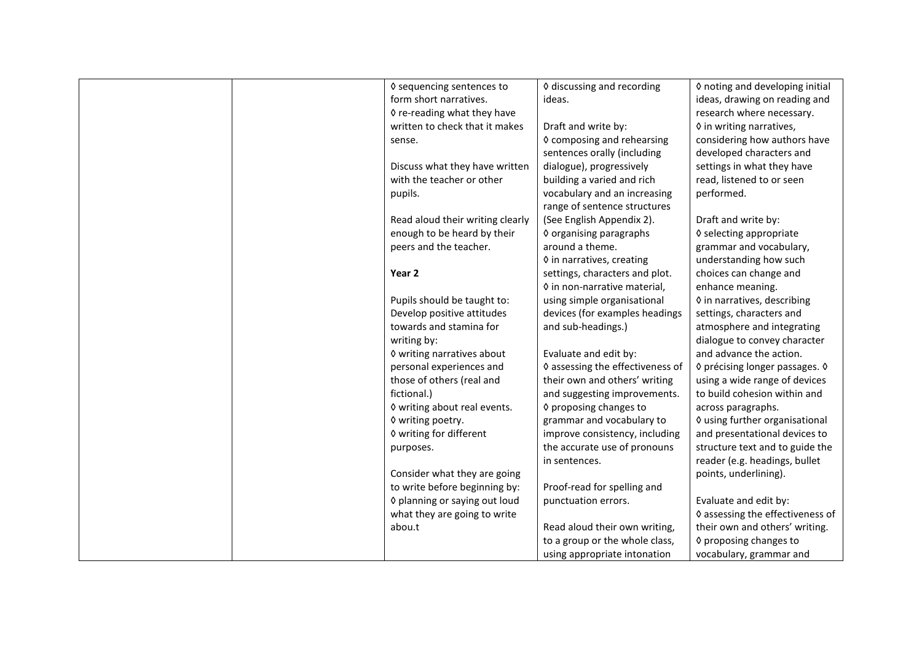| ♦ discussing and recording<br>♦ sequencing sentences to<br>♦ noting and developing initial<br>form short narratives.<br>ideas.<br>ideas, drawing on reading and<br>♦ re-reading what they have<br>research where necessary.<br>written to check that it makes<br>Draft and write by:<br>♦ in writing narratives,<br>♦ composing and rehearsing<br>considering how authors have<br>sense.<br>sentences orally (including<br>developed characters and<br>dialogue), progressively<br>Discuss what they have written<br>settings in what they have<br>with the teacher or other<br>building a varied and rich<br>read, listened to or seen<br>performed.<br>vocabulary and an increasing<br>pupils.<br>range of sentence structures<br>Read aloud their writing clearly<br>(See English Appendix 2).<br>Draft and write by:<br>enough to be heard by their<br>♦ organising paragraphs<br>♦ selecting appropriate<br>peers and the teacher.<br>around a theme.<br>grammar and vocabulary,<br>♦ in narratives, creating<br>understanding how such<br>settings, characters and plot.<br>choices can change and<br>Year 2<br>♦ in non-narrative material,<br>enhance meaning. |                             |                             |                                  |
|------------------------------------------------------------------------------------------------------------------------------------------------------------------------------------------------------------------------------------------------------------------------------------------------------------------------------------------------------------------------------------------------------------------------------------------------------------------------------------------------------------------------------------------------------------------------------------------------------------------------------------------------------------------------------------------------------------------------------------------------------------------------------------------------------------------------------------------------------------------------------------------------------------------------------------------------------------------------------------------------------------------------------------------------------------------------------------------------------------------------------------------------------------------------|-----------------------------|-----------------------------|----------------------------------|
|                                                                                                                                                                                                                                                                                                                                                                                                                                                                                                                                                                                                                                                                                                                                                                                                                                                                                                                                                                                                                                                                                                                                                                        |                             |                             |                                  |
|                                                                                                                                                                                                                                                                                                                                                                                                                                                                                                                                                                                                                                                                                                                                                                                                                                                                                                                                                                                                                                                                                                                                                                        |                             |                             |                                  |
|                                                                                                                                                                                                                                                                                                                                                                                                                                                                                                                                                                                                                                                                                                                                                                                                                                                                                                                                                                                                                                                                                                                                                                        |                             |                             |                                  |
|                                                                                                                                                                                                                                                                                                                                                                                                                                                                                                                                                                                                                                                                                                                                                                                                                                                                                                                                                                                                                                                                                                                                                                        |                             |                             |                                  |
|                                                                                                                                                                                                                                                                                                                                                                                                                                                                                                                                                                                                                                                                                                                                                                                                                                                                                                                                                                                                                                                                                                                                                                        |                             |                             |                                  |
|                                                                                                                                                                                                                                                                                                                                                                                                                                                                                                                                                                                                                                                                                                                                                                                                                                                                                                                                                                                                                                                                                                                                                                        |                             |                             |                                  |
|                                                                                                                                                                                                                                                                                                                                                                                                                                                                                                                                                                                                                                                                                                                                                                                                                                                                                                                                                                                                                                                                                                                                                                        |                             |                             |                                  |
|                                                                                                                                                                                                                                                                                                                                                                                                                                                                                                                                                                                                                                                                                                                                                                                                                                                                                                                                                                                                                                                                                                                                                                        |                             |                             |                                  |
|                                                                                                                                                                                                                                                                                                                                                                                                                                                                                                                                                                                                                                                                                                                                                                                                                                                                                                                                                                                                                                                                                                                                                                        |                             |                             |                                  |
|                                                                                                                                                                                                                                                                                                                                                                                                                                                                                                                                                                                                                                                                                                                                                                                                                                                                                                                                                                                                                                                                                                                                                                        |                             |                             |                                  |
|                                                                                                                                                                                                                                                                                                                                                                                                                                                                                                                                                                                                                                                                                                                                                                                                                                                                                                                                                                                                                                                                                                                                                                        |                             |                             |                                  |
|                                                                                                                                                                                                                                                                                                                                                                                                                                                                                                                                                                                                                                                                                                                                                                                                                                                                                                                                                                                                                                                                                                                                                                        |                             |                             |                                  |
|                                                                                                                                                                                                                                                                                                                                                                                                                                                                                                                                                                                                                                                                                                                                                                                                                                                                                                                                                                                                                                                                                                                                                                        |                             |                             |                                  |
|                                                                                                                                                                                                                                                                                                                                                                                                                                                                                                                                                                                                                                                                                                                                                                                                                                                                                                                                                                                                                                                                                                                                                                        |                             |                             |                                  |
|                                                                                                                                                                                                                                                                                                                                                                                                                                                                                                                                                                                                                                                                                                                                                                                                                                                                                                                                                                                                                                                                                                                                                                        |                             |                             |                                  |
|                                                                                                                                                                                                                                                                                                                                                                                                                                                                                                                                                                                                                                                                                                                                                                                                                                                                                                                                                                                                                                                                                                                                                                        |                             |                             |                                  |
|                                                                                                                                                                                                                                                                                                                                                                                                                                                                                                                                                                                                                                                                                                                                                                                                                                                                                                                                                                                                                                                                                                                                                                        | Pupils should be taught to: | using simple organisational | ♦ in narratives, describing      |
| Develop positive attitudes<br>devices (for examples headings<br>settings, characters and                                                                                                                                                                                                                                                                                                                                                                                                                                                                                                                                                                                                                                                                                                                                                                                                                                                                                                                                                                                                                                                                               |                             |                             |                                  |
| towards and stamina for<br>and sub-headings.)<br>atmosphere and integrating                                                                                                                                                                                                                                                                                                                                                                                                                                                                                                                                                                                                                                                                                                                                                                                                                                                                                                                                                                                                                                                                                            |                             |                             |                                  |
| writing by:<br>dialogue to convey character                                                                                                                                                                                                                                                                                                                                                                                                                                                                                                                                                                                                                                                                                                                                                                                                                                                                                                                                                                                                                                                                                                                            |                             |                             |                                  |
| and advance the action.<br>♦ writing narratives about<br>Evaluate and edit by:                                                                                                                                                                                                                                                                                                                                                                                                                                                                                                                                                                                                                                                                                                                                                                                                                                                                                                                                                                                                                                                                                         |                             |                             |                                  |
| personal experiences and<br>♦ assessing the effectiveness of<br>◊ précising longer passages. ◊                                                                                                                                                                                                                                                                                                                                                                                                                                                                                                                                                                                                                                                                                                                                                                                                                                                                                                                                                                                                                                                                         |                             |                             |                                  |
| those of others (real and<br>their own and others' writing<br>using a wide range of devices                                                                                                                                                                                                                                                                                                                                                                                                                                                                                                                                                                                                                                                                                                                                                                                                                                                                                                                                                                                                                                                                            |                             |                             |                                  |
| fictional.)<br>and suggesting improvements.<br>to build cohesion within and                                                                                                                                                                                                                                                                                                                                                                                                                                                                                                                                                                                                                                                                                                                                                                                                                                                                                                                                                                                                                                                                                            |                             |                             |                                  |
| ♦ writing about real events.<br>♦ proposing changes to<br>across paragraphs.                                                                                                                                                                                                                                                                                                                                                                                                                                                                                                                                                                                                                                                                                                                                                                                                                                                                                                                                                                                                                                                                                           |                             |                             |                                  |
| ♦ using further organisational<br>♦ writing poetry.<br>grammar and vocabulary to                                                                                                                                                                                                                                                                                                                                                                                                                                                                                                                                                                                                                                                                                                                                                                                                                                                                                                                                                                                                                                                                                       |                             |                             |                                  |
| ♦ writing for different<br>improve consistency, including<br>and presentational devices to                                                                                                                                                                                                                                                                                                                                                                                                                                                                                                                                                                                                                                                                                                                                                                                                                                                                                                                                                                                                                                                                             |                             |                             |                                  |
| the accurate use of pronouns<br>structure text and to guide the<br>purposes.                                                                                                                                                                                                                                                                                                                                                                                                                                                                                                                                                                                                                                                                                                                                                                                                                                                                                                                                                                                                                                                                                           |                             |                             |                                  |
| reader (e.g. headings, bullet<br>in sentences.                                                                                                                                                                                                                                                                                                                                                                                                                                                                                                                                                                                                                                                                                                                                                                                                                                                                                                                                                                                                                                                                                                                         |                             |                             |                                  |
| Consider what they are going<br>points, underlining).                                                                                                                                                                                                                                                                                                                                                                                                                                                                                                                                                                                                                                                                                                                                                                                                                                                                                                                                                                                                                                                                                                                  |                             |                             |                                  |
| to write before beginning by:<br>Proof-read for spelling and                                                                                                                                                                                                                                                                                                                                                                                                                                                                                                                                                                                                                                                                                                                                                                                                                                                                                                                                                                                                                                                                                                           |                             |                             |                                  |
| ♦ planning or saying out loud<br>punctuation errors.<br>Evaluate and edit by:                                                                                                                                                                                                                                                                                                                                                                                                                                                                                                                                                                                                                                                                                                                                                                                                                                                                                                                                                                                                                                                                                          |                             |                             |                                  |
| what they are going to write                                                                                                                                                                                                                                                                                                                                                                                                                                                                                                                                                                                                                                                                                                                                                                                                                                                                                                                                                                                                                                                                                                                                           |                             |                             | ♦ assessing the effectiveness of |
| their own and others' writing.<br>Read aloud their own writing,<br>abou.t                                                                                                                                                                                                                                                                                                                                                                                                                                                                                                                                                                                                                                                                                                                                                                                                                                                                                                                                                                                                                                                                                              |                             |                             |                                  |
| to a group or the whole class,<br>♦ proposing changes to                                                                                                                                                                                                                                                                                                                                                                                                                                                                                                                                                                                                                                                                                                                                                                                                                                                                                                                                                                                                                                                                                                               |                             |                             |                                  |
| using appropriate intonation<br>vocabulary, grammar and                                                                                                                                                                                                                                                                                                                                                                                                                                                                                                                                                                                                                                                                                                                                                                                                                                                                                                                                                                                                                                                                                                                |                             |                             |                                  |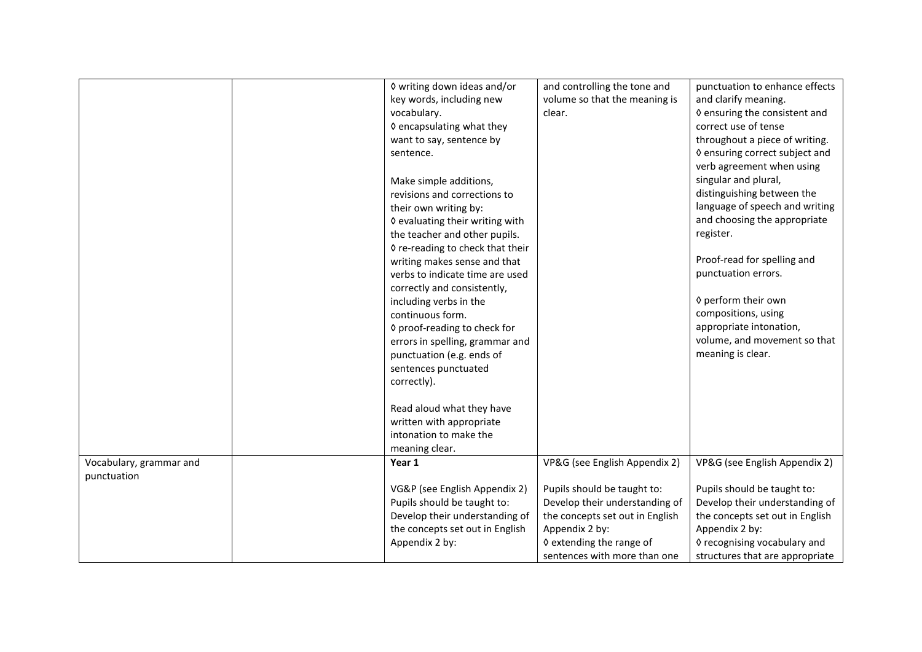|                         | ♦ writing down ideas and/or<br>key words, including new<br>vocabulary.<br>♦ encapsulating what they<br>want to say, sentence by<br>sentence.<br>Make simple additions,<br>revisions and corrections to<br>their own writing by:<br>♦ evaluating their writing with<br>the teacher and other pupils.<br>◊ re-reading to check that their<br>writing makes sense and that<br>verbs to indicate time are used<br>correctly and consistently,<br>including verbs in the<br>continuous form.<br>♦ proof-reading to check for<br>errors in spelling, grammar and<br>punctuation (e.g. ends of<br>sentences punctuated<br>correctly).<br>Read aloud what they have | and controlling the tone and<br>volume so that the meaning is<br>clear. | punctuation to enhance effects<br>and clarify meaning.<br>♦ ensuring the consistent and<br>correct use of tense<br>throughout a piece of writing.<br>♦ ensuring correct subject and<br>verb agreement when using<br>singular and plural,<br>distinguishing between the<br>language of speech and writing<br>and choosing the appropriate<br>register.<br>Proof-read for spelling and<br>punctuation errors.<br>♦ perform their own<br>compositions, using<br>appropriate intonation,<br>volume, and movement so that<br>meaning is clear. |
|-------------------------|-------------------------------------------------------------------------------------------------------------------------------------------------------------------------------------------------------------------------------------------------------------------------------------------------------------------------------------------------------------------------------------------------------------------------------------------------------------------------------------------------------------------------------------------------------------------------------------------------------------------------------------------------------------|-------------------------------------------------------------------------|-------------------------------------------------------------------------------------------------------------------------------------------------------------------------------------------------------------------------------------------------------------------------------------------------------------------------------------------------------------------------------------------------------------------------------------------------------------------------------------------------------------------------------------------|
|                         | written with appropriate                                                                                                                                                                                                                                                                                                                                                                                                                                                                                                                                                                                                                                    |                                                                         |                                                                                                                                                                                                                                                                                                                                                                                                                                                                                                                                           |
|                         | intonation to make the                                                                                                                                                                                                                                                                                                                                                                                                                                                                                                                                                                                                                                      |                                                                         |                                                                                                                                                                                                                                                                                                                                                                                                                                                                                                                                           |
|                         | meaning clear.                                                                                                                                                                                                                                                                                                                                                                                                                                                                                                                                                                                                                                              |                                                                         |                                                                                                                                                                                                                                                                                                                                                                                                                                                                                                                                           |
| Vocabulary, grammar and | Year 1                                                                                                                                                                                                                                                                                                                                                                                                                                                                                                                                                                                                                                                      | VP&G (see English Appendix 2)                                           | VP&G (see English Appendix 2)                                                                                                                                                                                                                                                                                                                                                                                                                                                                                                             |
| punctuation             |                                                                                                                                                                                                                                                                                                                                                                                                                                                                                                                                                                                                                                                             |                                                                         |                                                                                                                                                                                                                                                                                                                                                                                                                                                                                                                                           |
|                         | VG&P (see English Appendix 2)                                                                                                                                                                                                                                                                                                                                                                                                                                                                                                                                                                                                                               | Pupils should be taught to:                                             | Pupils should be taught to:                                                                                                                                                                                                                                                                                                                                                                                                                                                                                                               |
|                         | Pupils should be taught to:                                                                                                                                                                                                                                                                                                                                                                                                                                                                                                                                                                                                                                 | Develop their understanding of                                          | Develop their understanding of                                                                                                                                                                                                                                                                                                                                                                                                                                                                                                            |
|                         | Develop their understanding of                                                                                                                                                                                                                                                                                                                                                                                                                                                                                                                                                                                                                              | the concepts set out in English                                         | the concepts set out in English                                                                                                                                                                                                                                                                                                                                                                                                                                                                                                           |
|                         | the concepts set out in English                                                                                                                                                                                                                                                                                                                                                                                                                                                                                                                                                                                                                             | Appendix 2 by:                                                          | Appendix 2 by:                                                                                                                                                                                                                                                                                                                                                                                                                                                                                                                            |
|                         | Appendix 2 by:                                                                                                                                                                                                                                                                                                                                                                                                                                                                                                                                                                                                                                              | ♦ extending the range of                                                | ♦ recognising vocabulary and                                                                                                                                                                                                                                                                                                                                                                                                                                                                                                              |
|                         |                                                                                                                                                                                                                                                                                                                                                                                                                                                                                                                                                                                                                                                             | sentences with more than one                                            | structures that are appropriate                                                                                                                                                                                                                                                                                                                                                                                                                                                                                                           |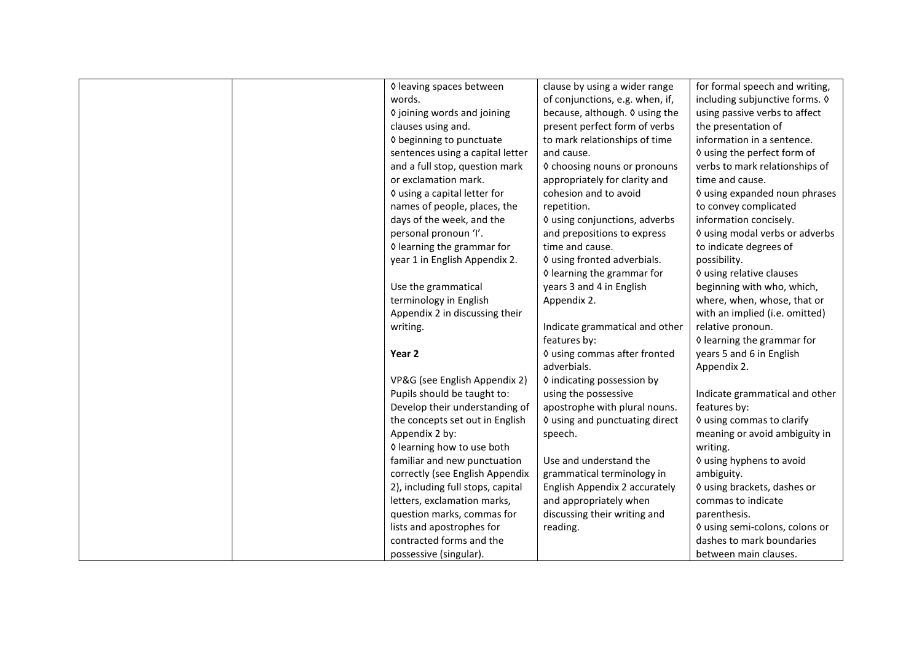| ♦ leaving spaces between          | clause by using a wider range   | for formal speech and writing, |
|-----------------------------------|---------------------------------|--------------------------------|
| words.                            | of conjunctions, e.g. when, if, | including subjunctive forms. 0 |
| ♦ joining words and joining       | because, although. 0 using the  | using passive verbs to affect  |
| clauses using and.                | present perfect form of verbs   | the presentation of            |
| ♦ beginning to punctuate          | to mark relationships of time   | information in a sentence.     |
| sentences using a capital letter  | and cause.                      | ♦ using the perfect form of    |
| and a full stop, question mark    | ♦ choosing nouns or pronouns    | verbs to mark relationships of |
| or exclamation mark.              | appropriately for clarity and   | time and cause.                |
| ♦ using a capital letter for      | cohesion and to avoid           | ♦ using expanded noun phrases  |
| names of people, places, the      | repetition.                     | to convey complicated          |
| days of the week, and the         | ◊ using conjunctions, adverbs   | information concisely.         |
| personal pronoun 'I'.             | and prepositions to express     | ♦ using modal verbs or adverbs |
| ♦ learning the grammar for        | time and cause.                 | to indicate degrees of         |
| year 1 in English Appendix 2.     | ♦ using fronted adverbials.     | possibility.                   |
|                                   | ♦ learning the grammar for      | ♦ using relative clauses       |
| Use the grammatical               | years 3 and 4 in English        | beginning with who, which,     |
| terminology in English            | Appendix 2.                     | where, when, whose, that or    |
| Appendix 2 in discussing their    |                                 | with an implied (i.e. omitted) |
| writing.                          | Indicate grammatical and other  | relative pronoun.              |
|                                   | features by:                    | ♦ learning the grammar for     |
| Year 2                            | 0 using commas after fronted    | years 5 and 6 in English       |
|                                   | adverbials.                     | Appendix 2.                    |
| VP&G (see English Appendix 2)     | ♦ indicating possession by      |                                |
| Pupils should be taught to:       | using the possessive            | Indicate grammatical and other |
| Develop their understanding of    | apostrophe with plural nouns.   | features by:                   |
| the concepts set out in English   | ♦ using and punctuating direct  | ♦ using commas to clarify      |
| Appendix 2 by:                    | speech.                         | meaning or avoid ambiguity in  |
| ♦ learning how to use both        |                                 | writing.                       |
| familiar and new punctuation      | Use and understand the          | ♦ using hyphens to avoid       |
| correctly (see English Appendix   | grammatical terminology in      | ambiguity.                     |
| 2), including full stops, capital | English Appendix 2 accurately   | ♦ using brackets, dashes or    |
| letters, exclamation marks,       | and appropriately when          | commas to indicate             |
| question marks, commas for        | discussing their writing and    | parenthesis.                   |
| lists and apostrophes for         | reading.                        | ◊ using semi-colons, colons or |
| contracted forms and the          |                                 | dashes to mark boundaries      |
| possessive (singular).            |                                 | between main clauses.          |